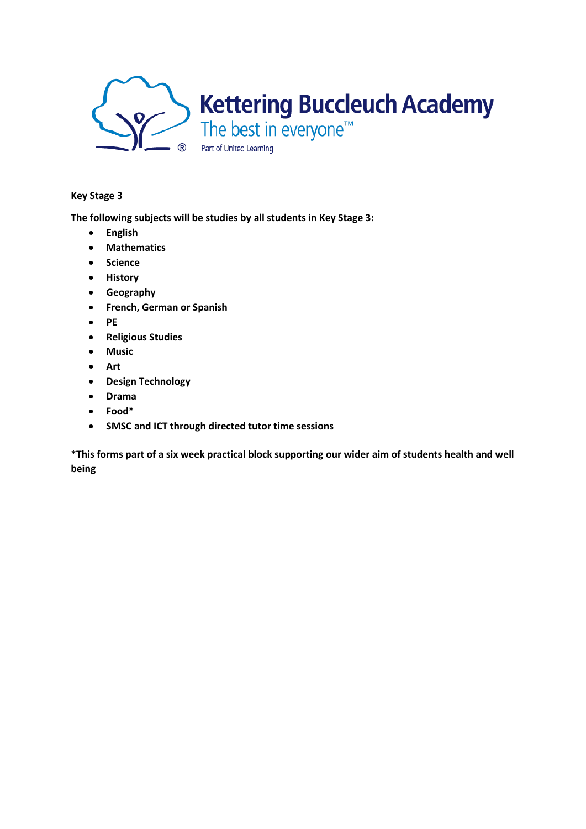

## **Key Stage 3**

**The following subjects will be studies by all students in Key Stage 3:**

- **English**
- **Mathematics**
- **Science**
- **History**
- **Geography**
- **French, German or Spanish**
- **PE**
- **Religious Studies**
- **Music**
- **Art**
- **Design Technology**
- **Drama**
- **Food\***
- **SMSC and ICT through directed tutor time sessions**

**\*This forms part of a six week practical block supporting our wider aim of students health and well being**